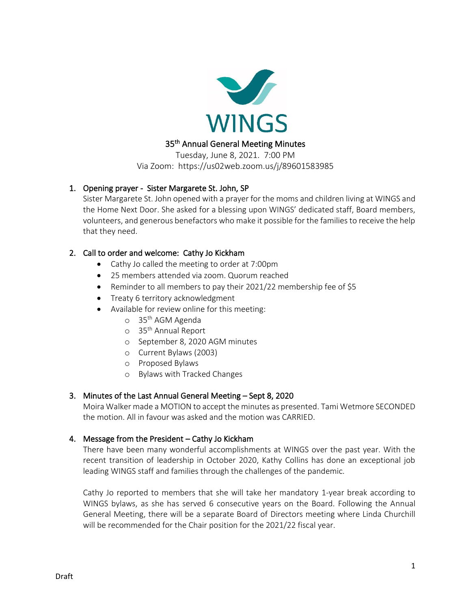

## 35<sup>th</sup> Annual General Meeting Minutes

Tuesday, June 8, 2021. 7:00 PM Via Zoom: https://us02web.zoom.us/j/89601583985

## 1. Opening prayer - Sister Margarete St. John, SP

Sister Margarete St. John opened with a prayer for the moms and children living at WINGS and the Home Next Door. She asked for a blessing upon WINGS' dedicated staff, Board members, volunteers, and generous benefactors who make it possible for the families to receive the help that they need.

## 2. Call to order and welcome: Cathy Jo Kickham

- Cathy Jo called the meeting to order at 7:00pm
- 25 members attended via zoom. Quorum reached
- Reminder to all members to pay their 2021/22 membership fee of \$5
- Treaty 6 territory acknowledgment
- Available for review online for this meeting:
	- o 35<sup>th</sup> AGM Agenda
	- o 35 th Annual Report
	- o September 8, 2020 AGM minutes
	- o Current Bylaws (2003)
	- o Proposed Bylaws
	- o Bylaws with Tracked Changes

### 3. Minutes of the Last Annual General Meeting – Sept 8, 2020

Moira Walker made a MOTION to accept the minutes as presented. Tami Wetmore SECONDED the motion. All in favour was asked and the motion was CARRIED.

### 4. Message from the President – Cathy Jo Kickham

There have been many wonderful accomplishments at WINGS over the past year. With the recent transition of leadership in October 2020, Kathy Collins has done an exceptional job leading WINGS staff and families through the challenges of the pandemic.

Cathy Jo reported to members that she will take her mandatory 1-year break according to WINGS bylaws, as she has served 6 consecutive years on the Board. Following the Annual General Meeting, there will be a separate Board of Directors meeting where Linda Churchill will be recommended for the Chair position for the 2021/22 fiscal year.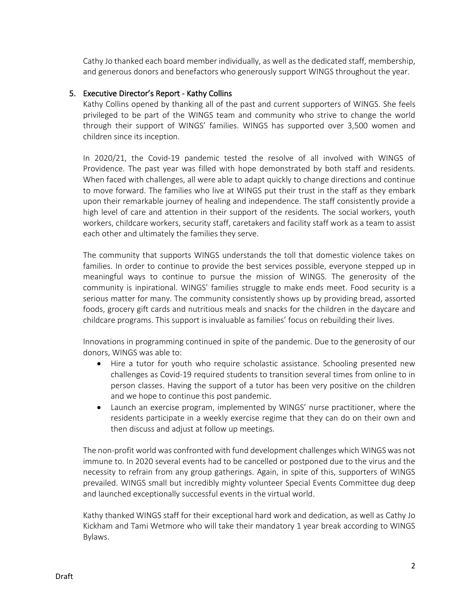Cathy Jo thanked each board member individually, as well as the dedicated staff, membership, and generous donors and benefactors who generously support WINGS throughout the year.

## 5. Executive Director's Report - Kathy Collins

Kathy Collins opened by thanking all of the past and current supporters of WINGS. She feels privileged to be part of the WINGS team and community who strive to change the world through their support of WINGS' families. WINGS has supported over 3,500 women and children since its inception.

In 2020/21, the Covid-19 pandemic tested the resolve of all involved with WINGS of Providence. The past year was filled with hope demonstrated by both staff and residents. When faced with challenges, all were able to adapt quickly to change directions and continue to move forward. The families who live at WINGS put their trust in the staff as they embark upon their remarkable journey of healing and independence. The staff consistently provide a high level of care and attention in their support of the residents. The social workers, youth workers, childcare workers, security staff, caretakers and facility staff work as a team to assist each other and ultimately the families they serve.

The community that supports WINGS understands the toll that domestic violence takes on families. In order to continue to provide the best services possible, everyone stepped up in meaningful ways to continue to pursue the mission of WINGS. The generosity of the community is inpirational. WINGS' families struggle to make ends meet. Food security is a serious matter for many. The community consistently shows up by providing bread, assorted foods, grocery gift cards and nutritious meals and snacks for the children in the daycare and childcare programs. This support is invaluable as families' focus on rebuilding their lives.

Innovations in programming continued in spite of the pandemic. Due to the generosity of our donors, WINGS was able to:

- Hire a tutor for youth who require scholastic assistance. Schooling presented new challenges as Covid-19 required students to transition several times from online to in person classes. Having the support of a tutor has been very positive on the children and we hope to continue this post pandemic.
- Launch an exercise program, implemented by WINGS' nurse practitioner, where the residents participate in a weekly exercise regime that they can do on their own and then discuss and adjust at follow up meetings.

The non-profit world was confronted with fund development challenges which WINGS was not immune to. In 2020 several events had to be cancelled or postponed due to the virus and the necessity to refrain from any group gatherings. Again, in spite of this, supporters of WINGS prevailed. WINGS small but incredibly mighty volunteer Special Events Committee dug deep and launched exceptionally successful events in the virtual world.

Kathy thanked WINGS staff for their exceptional hard work and dedication, as well as Cathy Jo Kickham and Tami Wetmore who will take their mandatory 1 year break according to WINGS Bylaws.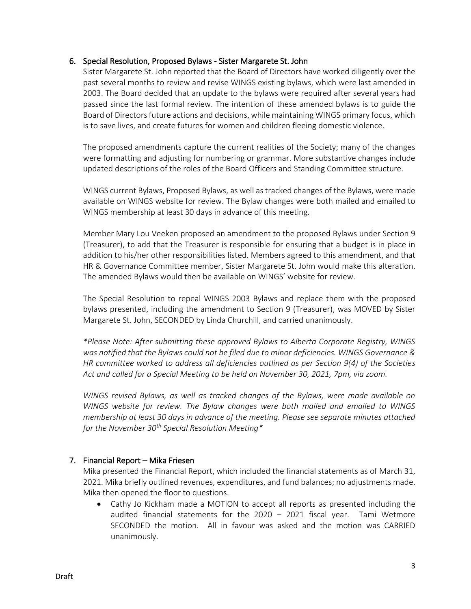### 6. Special Resolution, Proposed Bylaws - Sister Margarete St. John

Sister Margarete St. John reported that the Board of Directors have worked diligently over the past several months to review and revise WINGS existing bylaws, which were last amended in 2003. The Board decided that an update to the bylaws were required after several years had passed since the last formal review. The intention of these amended bylaws is to guide the Board of Directors future actions and decisions, while maintaining WINGS primary focus, which is to save lives, and create futures for women and children fleeing domestic violence.

The proposed amendments capture the current realities of the Society; many of the changes were formatting and adjusting for numbering or grammar. More substantive changes include updated descriptions of the roles of the Board Officers and Standing Committee structure.

WINGS current Bylaws, Proposed Bylaws, as well as tracked changes of the Bylaws, were made available on WINGS website for review. The Bylaw changes were both mailed and emailed to WINGS membership at least 30 days in advance of this meeting.

Member Mary Lou Veeken proposed an amendment to the proposed Bylaws under Section 9 (Treasurer), to add that the Treasurer is responsible for ensuring that a budget is in place in addition to his/her other responsibilities listed. Members agreed to this amendment, and that HR & Governance Committee member, Sister Margarete St. John would make this alteration. The amended Bylaws would then be available on WINGS' website for review.

The Special Resolution to repeal WINGS 2003 Bylaws and replace them with the proposed bylaws presented, including the amendment to Section 9 (Treasurer), was MOVED by Sister Margarete St. John, SECONDED by Linda Churchill, and carried unanimously.

*\*Please Note: After submitting these approved Bylaws to Alberta Corporate Registry, WINGS was notified that the Bylaws could not be filed due to minor deficiencies. WINGS Governance & HR committee worked to address all deficiencies outlined as per Section 9(4) of the Societies Act and called for a Special Meeting to be held on November 30, 2021, 7pm, via zoom.*

*WINGS revised Bylaws, as well as tracked changes of the Bylaws, were made available on WINGS website for review. The Bylaw changes were both mailed and emailed to WINGS membership at least 30 days in advance of the meeting. Please see separate minutes attached for the November 30th Special Resolution Meeting\**

# 7. Financial Report – Mika Friesen

Mika presented the Financial Report, which included the financial statements as of March 31, 2021. Mika briefly outlined revenues, expenditures, and fund balances; no adjustments made. Mika then opened the floor to questions.

• Cathy Jo Kickham made a MOTION to accept all reports as presented including the audited financial statements for the 2020 – 2021 fiscal year. Tami Wetmore SECONDED the motion. All in favour was asked and the motion was CARRIED unanimously.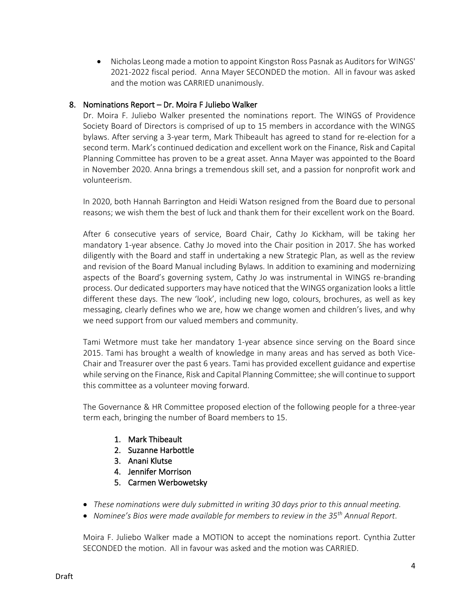• Nicholas Leong made a motion to appoint Kingston Ross Pasnak as Auditors for WINGS' 2021-2022 fiscal period. Anna Mayer SECONDED the motion. All in favour was asked and the motion was CARRIED unanimously.

## 8. Nominations Report – Dr. Moira F Juliebo Walker

Dr. Moira F. Juliebo Walker presented the nominations report. The WINGS of Providence Society Board of Directors is comprised of up to 15 members in accordance with the WINGS bylaws. After serving a 3-year term, Mark Thibeault has agreed to stand for re-election for a second term. Mark's continued dedication and excellent work on the Finance, Risk and Capital Planning Committee has proven to be a great asset. Anna Mayer was appointed to the Board in November 2020. Anna brings a tremendous skill set, and a passion for nonprofit work and volunteerism.

In 2020, both Hannah Barrington and Heidi Watson resigned from the Board due to personal reasons; we wish them the best of luck and thank them for their excellent work on the Board.

After 6 consecutive years of service, Board Chair, Cathy Jo Kickham, will be taking her mandatory 1-year absence. Cathy Jo moved into the Chair position in 2017. She has worked diligently with the Board and staff in undertaking a new Strategic Plan, as well as the review and revision of the Board Manual including Bylaws. In addition to examining and modernizing aspects of the Board's governing system, Cathy Jo was instrumental in WINGS re-branding process. Our dedicated supporters may have noticed that the WINGS organization looks a little different these days. The new 'look', including new logo, colours, brochures, as well as key messaging, clearly defines who we are, how we change women and children's lives, and why we need support from our valued members and community.

Tami Wetmore must take her mandatory 1-year absence since serving on the Board since 2015. Tami has brought a wealth of knowledge in many areas and has served as both Vice-Chair and Treasurer over the past 6 years. Tami has provided excellent guidance and expertise while serving on the Finance, Risk and Capital Planning Committee; she will continue to support this committee as a volunteer moving forward.

The Governance & HR Committee proposed election of the following people for a three-year term each, bringing the number of Board members to 15.

- 1. Mark Thibeault
- 2. Suzanne Harbottle
- 3. Anani Klutse
- 4. Jennifer Morrison
- 5. Carmen Werbowetsky
- *These nominations were duly submitted in writing 30 days prior to this annual meeting.*
- *Nominee's Bios were made available for members to review in the 35th Annual Report*.

Moira F. Juliebo Walker made a MOTION to accept the nominations report. Cynthia Zutter SECONDED the motion. All in favour was asked and the motion was CARRIED.